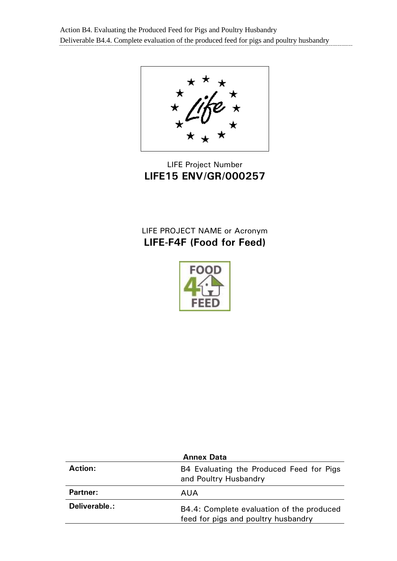Action B4. Evaluating the Produced Feed for Pigs and Poultry Husbandry Deliverable B4.4. Complete evaluation of the produced feed for pigs and poultry husbandry

# LIFE Project Number **LIFE15 ENV/GR/000257**

# LIFE PROJECT NAME or Acronym **LIFE-F4F (Food for Feed)**



| <b>Annex Data</b> |                                                                                  |
|-------------------|----------------------------------------------------------------------------------|
| <b>Action:</b>    | B4 Evaluating the Produced Feed for Pigs<br>and Poultry Husbandry                |
| <b>Partner:</b>   | AUA                                                                              |
| Deliverable.:     | B4.4: Complete evaluation of the produced<br>feed for pigs and poultry husbandry |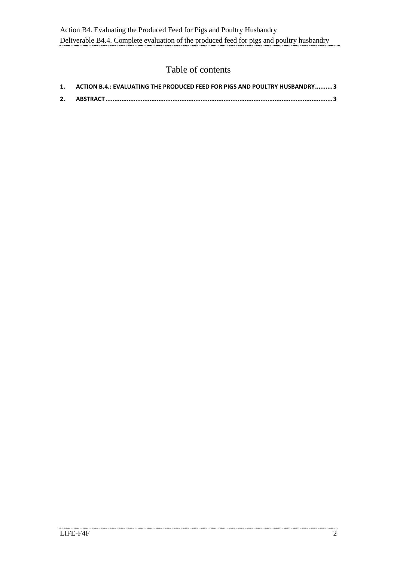### Table of contents

| 1. ACTION B.4.: EVALUATING THE PRODUCED FEED FOR PIGS AND POULTRY HUSBANDRY3 |
|------------------------------------------------------------------------------|
|                                                                              |